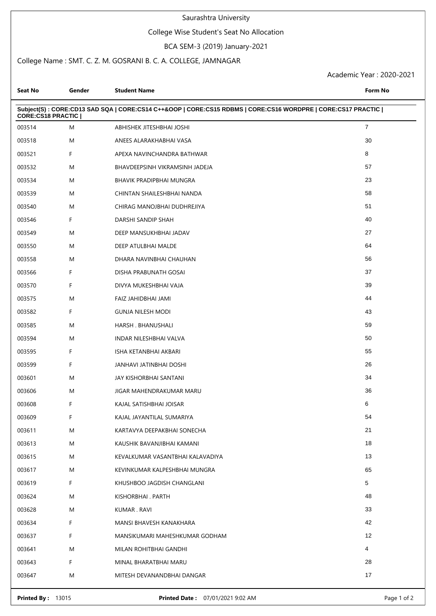# Saurashtra University

# College Wise Student's Seat No Allocation

### BCA SEM-3 (2019) January-2021

# College Name : SMT. C. Z. M. GOSRANI B. C. A. COLLEGE, JAMNAGAR

Academic Year : 2020-2021

| Seat No                  | Gender | <b>Student Name</b>                                                                                         | Form No        |
|--------------------------|--------|-------------------------------------------------------------------------------------------------------------|----------------|
| <b>CORE:CS18 PRACTIC</b> |        | Subject(S): CORE:CD13 SAD SQA   CORE:CS14 C++&OOP   CORE:CS15 RDBMS   CORE:CS16 WORDPRE   CORE:CS17 PRACTIC |                |
| 003514                   | Μ      | ABHISHEK JITESHBHAI JOSHI                                                                                   | $\overline{7}$ |
| 003518                   | M      | ANEES ALARAKHABHAI VASA                                                                                     | 30             |
| 003521                   | F      | APEXA NAVINCHANDRA BATHWAR                                                                                  | 8              |
| 003532                   | M      | BHAVDEEPSINH VIKRAMSINH JADEJA                                                                              | 57             |
| 003534                   | M      | BHAVIK PRADIPBHAI MUNGRA                                                                                    | 23             |
| 003539                   | M      | CHINTAN SHAILESHBHAI NANDA                                                                                  | 58             |
| 003540                   | M      | CHIRAG MANOJBHAI DUDHREJIYA                                                                                 | 51             |
| 003546                   | F.     | DARSHI SANDIP SHAH                                                                                          | 40             |
| 003549                   | Μ      | DEEP MANSUKHBHAI JADAV                                                                                      | 27             |
| 003550                   | M      | DEEP ATULBHAI MALDE                                                                                         | 64             |
| 003558                   | M      | DHARA NAVINBHAI CHAUHAN                                                                                     | 56             |
| 003566                   | F      | DISHA PRABUNATH GOSAI                                                                                       | 37             |
| 003570                   | F      | DIVYA MUKESHBHAI VAJA                                                                                       | 39             |
| 003575                   | M      | FAIZ JAHIDBHAI JAMI                                                                                         | 44             |
| 003582                   | F      | <b>GUNJA NILESH MODI</b>                                                                                    | 43             |
| 003585                   | M      | HARSH. BHANUSHALI                                                                                           | 59             |
| 003594                   | M      | INDAR NILESHBHAI VALVA                                                                                      | 50             |
| 003595                   | F      | ISHA KETANBHAI AKBARI                                                                                       | 55             |
| 003599                   | F      | JANHAVI JATINBHAI DOSHI                                                                                     | 26             |
| 003601                   | M      | JAY KISHORBHAI SANTANI                                                                                      | 34             |
| 003606                   | M      | JIGAR MAHENDRAKUMAR MARU                                                                                    | 36             |
| 003608                   | F      | KAJAL SATISHBHAI JOISAR                                                                                     | 6              |
| 003609                   |        | KAJAL JAYANTILAL SUMARIYA                                                                                   | 54             |
| 003611                   | M      | KARTAVYA DEEPAKBHAI SONECHA                                                                                 | 21             |
| 003613                   | M      | KAUSHIK BAVANJIBHAI KAMANI                                                                                  | 18             |
| 003615                   | Μ      | KEVALKUMAR VASANTBHAI KALAVADIYA                                                                            | 13             |
| 003617                   | M      | KEVINKUMAR KALPESHBHAI MUNGRA                                                                               | 65             |
| 003619                   | F.     | KHUSHBOO JAGDISH CHANGLANI                                                                                  | 5              |
| 003624                   | M      | KISHORBHAI . PARTH                                                                                          | 48             |
| 003628                   | M      | KUMAR . RAVI                                                                                                | 33             |
| 003634                   | F.     | MANSI BHAVESH KANAKHARA                                                                                     | 42             |
| 003637                   | F.     | MANSIKUMARI MAHESHKUMAR GODHAM                                                                              | 12             |
| 003641                   | M      | MILAN ROHITBHAI GANDHI                                                                                      | 4              |
| 003643                   | F      | MINAL BHARATBHAI MARU                                                                                       | 28             |
| 003647                   | Μ      | MITESH DEVANANDBHAI DANGAR                                                                                  | 17             |